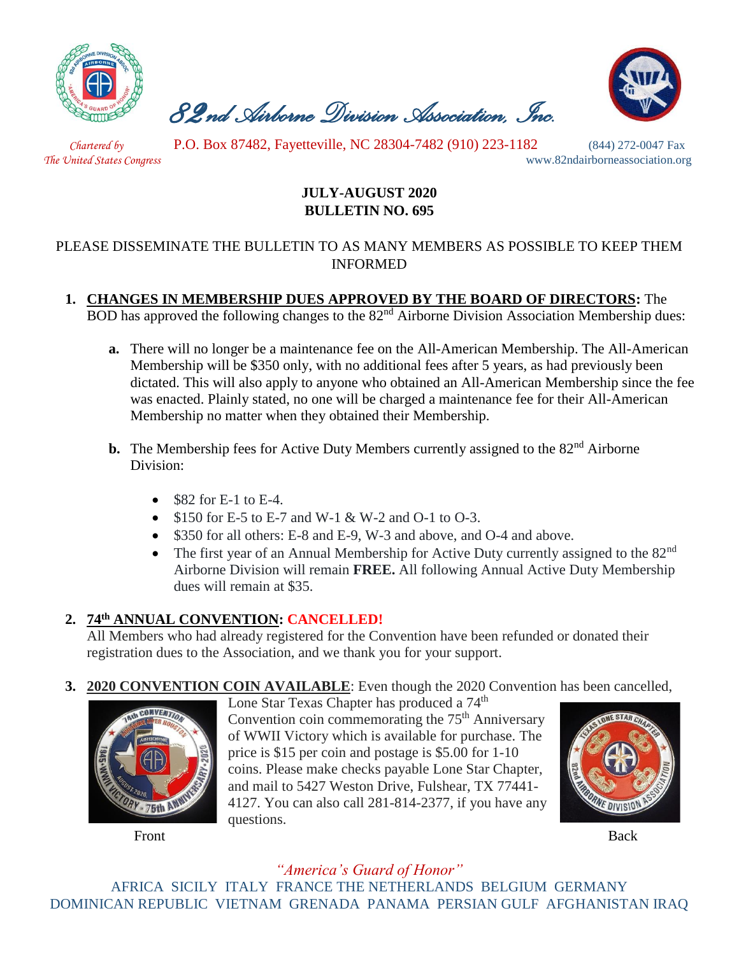

 *82nd Airborne Division Association, Inc.* 



 *Chartered by* P.O. Box 87482, Fayetteville, NC 28304-7482 (910) 223-1182 (844) 272-0047 Fax

*The United States Congress* www.82ndairborneassociation.org

## **JULY-AUGUST 2020 BULLETIN NO. 695**

### PLEASE DISSEMINATE THE BULLETIN TO AS MANY MEMBERS AS POSSIBLE TO KEEP THEM INFORMED

# **1. CHANGES IN MEMBERSHIP DUES APPROVED BY THE BOARD OF DIRECTORS:** The

BOD has approved the following changes to the  $82<sup>nd</sup>$  Airborne Division Association Membership dues:

- **a.** There will no longer be a maintenance fee on the All-American Membership. The All-American Membership will be \$350 only, with no additional fees after 5 years, as had previously been dictated. This will also apply to anyone who obtained an All-American Membership since the fee was enacted. Plainly stated, no one will be charged a maintenance fee for their All-American Membership no matter when they obtained their Membership.
- **b.** The Membership fees for Active Duty Members currently assigned to the 82<sup>nd</sup> Airborne Division:
	- $\bullet$  \$82 for E-1 to E-4.
	- \$150 for E-5 to E-7 and W-1 & W-2 and O-1 to O-3.
	- \$350 for all others: E-8 and E-9, W-3 and above, and O-4 and above.
	- The first year of an Annual Membership for Active Duty currently assigned to the 82<sup>nd</sup> Airborne Division will remain **FREE.** All following Annual Active Duty Membership dues will remain at \$35.

# **2. 74th ANNUAL CONVENTION: CANCELLED!**

All Members who had already registered for the Convention have been refunded or donated their registration dues to the Association, and we thank you for your support.

# **3. 2020 CONVENTION COIN AVAILABLE**: Even though the 2020 Convention has been cancelled,



Front Back

Lone Star Texas Chapter has produced a 74<sup>th</sup>

Convention coin commemorating the  $75<sup>th</sup>$  Anniversary of WWII Victory which is available for purchase. The price is \$15 per coin and postage is \$5.00 for 1-10 coins. Please make checks payable Lone Star Chapter, and mail to 5427 Weston Drive, Fulshear, TX 77441- 4127. You can also call 281-814-2377, if you have any questions.



#### *"America's Guard of Honor"* AFRICA SICILY ITALY FRANCE THE NETHERLANDS BELGIUM GERMANY DOMINICAN REPUBLIC VIETNAM GRENADA PANAMA PERSIAN GULF AFGHANISTAN IRAQ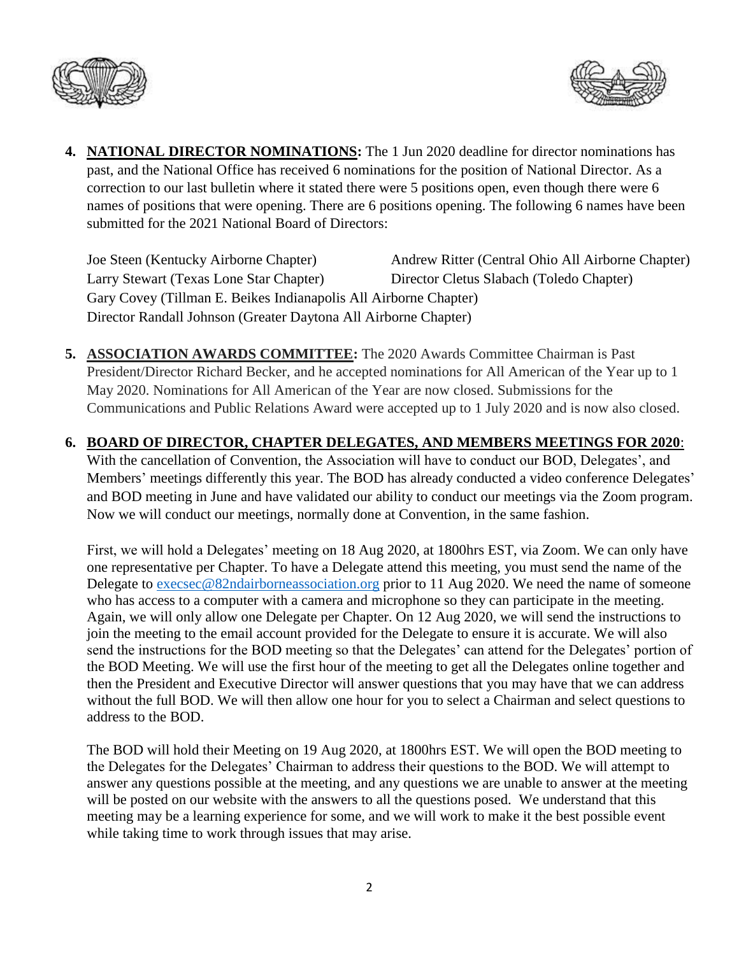



**4. NATIONAL DIRECTOR NOMINATIONS:** The 1 Jun 2020 deadline for director nominations has past, and the National Office has received 6 nominations for the position of National Director. As a correction to our last bulletin where it stated there were 5 positions open, even though there were 6 names of positions that were opening. There are 6 positions opening. The following 6 names have been submitted for the 2021 National Board of Directors:

Joe Steen (Kentucky Airborne Chapter) Andrew Ritter (Central Ohio All Airborne Chapter) Larry Stewart (Texas Lone Star Chapter) Director Cletus Slabach (Toledo Chapter) Gary Covey (Tillman E. Beikes Indianapolis All Airborne Chapter) Director Randall Johnson (Greater Daytona All Airborne Chapter)

- **5. ASSOCIATION AWARDS COMMITTEE:** The 2020 Awards Committee Chairman is Past President/Director Richard Becker, and he accepted nominations for All American of the Year up to 1 May 2020. Nominations for All American of the Year are now closed. Submissions for the Communications and Public Relations Award were accepted up to 1 July 2020 and is now also closed.
- **6. BOARD OF DIRECTOR, CHAPTER DELEGATES, AND MEMBERS MEETINGS FOR 2020**: With the cancellation of Convention, the Association will have to conduct our BOD, Delegates', and Members' meetings differently this year. The BOD has already conducted a video conference Delegates' and BOD meeting in June and have validated our ability to conduct our meetings via the Zoom program. Now we will conduct our meetings, normally done at Convention, in the same fashion.

First, we will hold a Delegates' meeting on 18 Aug 2020, at 1800hrs EST, via Zoom. We can only have one representative per Chapter. To have a Delegate attend this meeting, you must send the name of the Delegate to [execsec@82ndairborneassociation.org](mailto:execsec@82ndairborneassociation.org) prior to 11 Aug 2020. We need the name of someone who has access to a computer with a camera and microphone so they can participate in the meeting. Again, we will only allow one Delegate per Chapter. On 12 Aug 2020, we will send the instructions to join the meeting to the email account provided for the Delegate to ensure it is accurate. We will also send the instructions for the BOD meeting so that the Delegates' can attend for the Delegates' portion of the BOD Meeting. We will use the first hour of the meeting to get all the Delegates online together and then the President and Executive Director will answer questions that you may have that we can address without the full BOD. We will then allow one hour for you to select a Chairman and select questions to address to the BOD.

The BOD will hold their Meeting on 19 Aug 2020, at 1800hrs EST. We will open the BOD meeting to the Delegates for the Delegates' Chairman to address their questions to the BOD. We will attempt to answer any questions possible at the meeting, and any questions we are unable to answer at the meeting will be posted on our website with the answers to all the questions posed. We understand that this meeting may be a learning experience for some, and we will work to make it the best possible event while taking time to work through issues that may arise.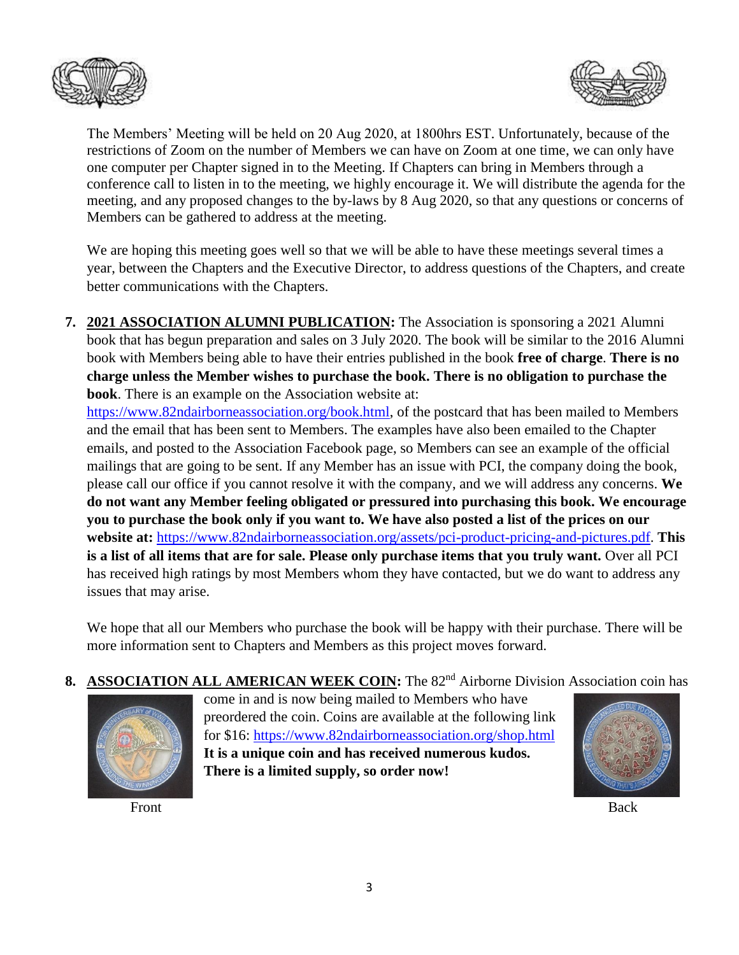



The Members' Meeting will be held on 20 Aug 2020, at 1800hrs EST. Unfortunately, because of the restrictions of Zoom on the number of Members we can have on Zoom at one time, we can only have one computer per Chapter signed in to the Meeting. If Chapters can bring in Members through a conference call to listen in to the meeting, we highly encourage it. We will distribute the agenda for the meeting, and any proposed changes to the by-laws by 8 Aug 2020, so that any questions or concerns of Members can be gathered to address at the meeting.

We are hoping this meeting goes well so that we will be able to have these meetings several times a year, between the Chapters and the Executive Director, to address questions of the Chapters, and create better communications with the Chapters.

**7. 2021 ASSOCIATION ALUMNI PUBLICATION:** The Association is sponsoring a 2021 Alumni book that has begun preparation and sales on 3 July 2020. The book will be similar to the 2016 Alumni book with Members being able to have their entries published in the book **free of charge**. **There is no charge unless the Member wishes to purchase the book. There is no obligation to purchase the book**. There is an example on the Association website at:

[https://www.82ndairborneassociation.org/book.html,](https://www.82ndairborneassociation.org/book.html) of the postcard that has been mailed to Members and the email that has been sent to Members. The examples have also been emailed to the Chapter emails, and posted to the Association Facebook page, so Members can see an example of the official mailings that are going to be sent. If any Member has an issue with PCI, the company doing the book, please call our office if you cannot resolve it with the company, and we will address any concerns. **We do not want any Member feeling obligated or pressured into purchasing this book. We encourage you to purchase the book only if you want to. We have also posted a list of the prices on our website at:** [https://www.82ndairborneassociation.org/assets/pci-product-pricing-and-pictures.pdf.](https://www.82ndairborneassociation.org/assets/pci-product-pricing-and-pictures.pdf) **This is a list of all items that are for sale. Please only purchase items that you truly want.** Over all PCI has received high ratings by most Members whom they have contacted, but we do want to address any issues that may arise.

We hope that all our Members who purchase the book will be happy with their purchase. There will be more information sent to Chapters and Members as this project moves forward.

8. ASSOCIATION ALL AMERICAN WEEK COIN: The 82<sup>nd</sup> Airborne Division Association coin has



Front Back

come in and is now being mailed to Members who have preordered the coin. Coins are available at the following link for \$16:<https://www.82ndairborneassociation.org/shop.html> **It is a unique coin and has received numerous kudos. There is a limited supply, so order now!** 

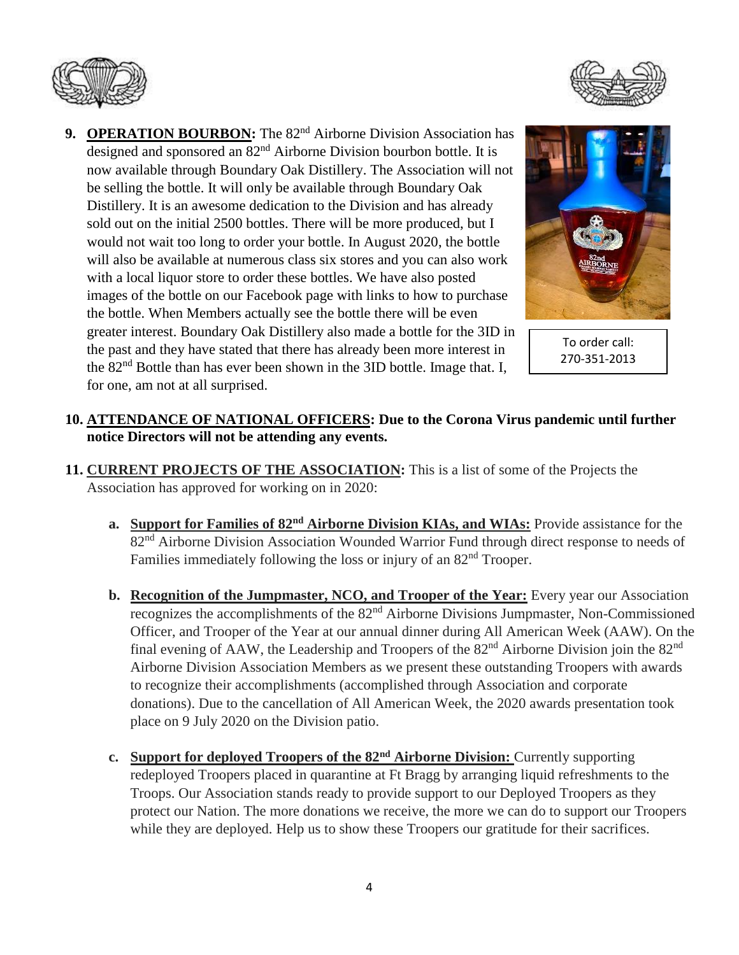



9. **OPERATION BOURBON:** The 82<sup>nd</sup> Airborne Division Association has designed and sponsored an 82nd Airborne Division bourbon bottle. It is now available through Boundary Oak Distillery. The Association will not be selling the bottle. It will only be available through Boundary Oak Distillery. It is an awesome dedication to the Division and has already sold out on the initial 2500 bottles. There will be more produced, but I would not wait too long to order your bottle. In August 2020, the bottle will also be available at numerous class six stores and you can also work with a local liquor store to order these bottles. We have also posted images of the bottle on our Facebook page with links to how to purchase the bottle. When Members actually see the bottle there will be even greater interest. Boundary Oak Distillery also made a bottle for the 3ID in the past and they have stated that there has already been more interest in the 82<sup>nd</sup> Bottle than has ever been shown in the 3ID bottle. Image that. I, for one, am not at all surprised.



To order call: 270-351-2013

#### **10. ATTENDANCE OF NATIONAL OFFICERS: Due to the Corona Virus pandemic until further notice Directors will not be attending any events.**

- **11. CURRENT PROJECTS OF THE ASSOCIATION:** This is a list of some of the Projects the Association has approved for working on in 2020:
	- **a. Support for Families of 82nd Airborne Division KIAs, and WIAs:** Provide assistance for the 82nd Airborne Division Association Wounded Warrior Fund through direct response to needs of Families immediately following the loss or injury of an  $82<sup>nd</sup>$  Trooper.
	- **b. Recognition of the Jumpmaster, NCO, and Trooper of the Year:** Every year our Association recognizes the accomplishments of the 82<sup>nd</sup> Airborne Divisions Jumpmaster, Non-Commissioned Officer, and Trooper of the Year at our annual dinner during All American Week (AAW). On the final evening of AAW, the Leadership and Troopers of the  $82<sup>nd</sup>$  Airborne Division join the  $82<sup>nd</sup>$ Airborne Division Association Members as we present these outstanding Troopers with awards to recognize their accomplishments (accomplished through Association and corporate donations). Due to the cancellation of All American Week, the 2020 awards presentation took place on 9 July 2020 on the Division patio.
	- **c. Support for deployed Troopers of the 82nd Airborne Division:** Currently supporting redeployed Troopers placed in quarantine at Ft Bragg by arranging liquid refreshments to the Troops. Our Association stands ready to provide support to our Deployed Troopers as they protect our Nation. The more donations we receive, the more we can do to support our Troopers while they are deployed. Help us to show these Troopers our gratitude for their sacrifices.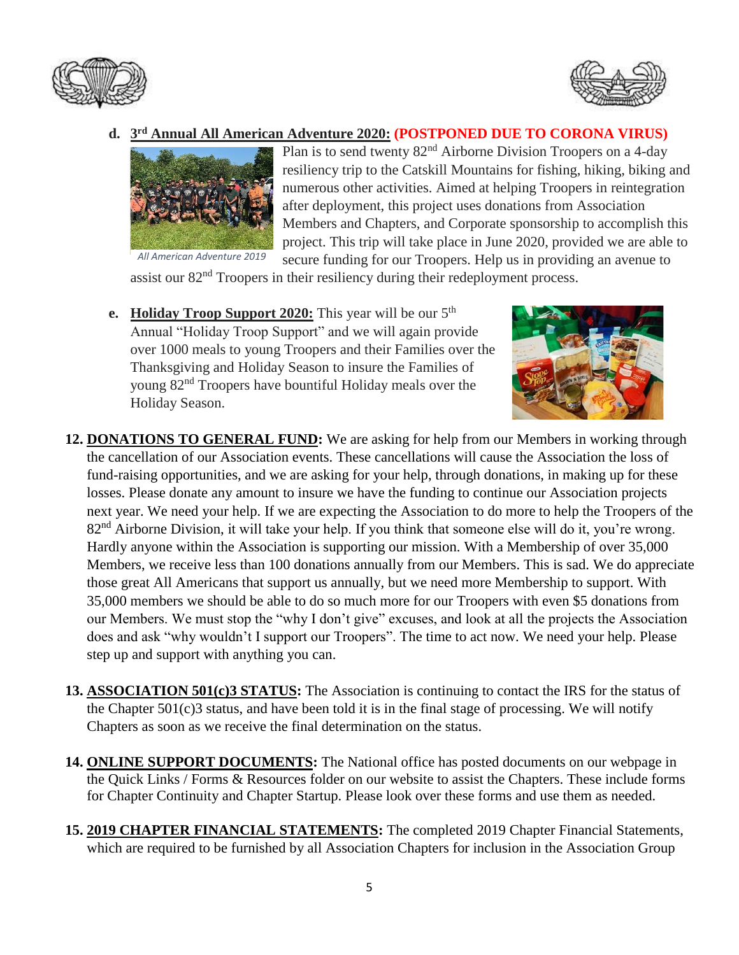



#### **d. 3 rd Annual All American Adventure 2020: (POSTPONED DUE TO CORONA VIRUS)**



Plan is to send twenty 82nd Airborne Division Troopers on a 4-day resiliency trip to the Catskill Mountains for fishing, hiking, biking and numerous other activities. Aimed at helping Troopers in reintegration after deployment, this project uses donations from Association Members and Chapters, and Corporate sponsorship to accomplish this project. This trip will take place in June 2020, provided we are able to secure funding for our Troopers. Help us in providing an avenue to

 *All American Adventure 2019*

- assist our 82<sup>nd</sup> Troopers in their resiliency during their redeployment process.
- **e. Holiday Troop Support 2020:** This year will be our 5<sup>th</sup> Annual "Holiday Troop Support" and we will again provide over 1000 meals to young Troopers and their Families over the Thanksgiving and Holiday Season to insure the Families of young 82nd Troopers have bountiful Holiday meals over the Holiday Season.



- **12. DONATIONS TO GENERAL FUND:** We are asking for help from our Members in working through the cancellation of our Association events. These cancellations will cause the Association the loss of fund-raising opportunities, and we are asking for your help, through donations, in making up for these losses. Please donate any amount to insure we have the funding to continue our Association projects next year. We need your help. If we are expecting the Association to do more to help the Troopers of the 82<sup>nd</sup> Airborne Division, it will take your help. If you think that someone else will do it, you're wrong. Hardly anyone within the Association is supporting our mission. With a Membership of over 35,000 Members, we receive less than 100 donations annually from our Members. This is sad. We do appreciate those great All Americans that support us annually, but we need more Membership to support. With 35,000 members we should be able to do so much more for our Troopers with even \$5 donations from our Members. We must stop the "why I don't give" excuses, and look at all the projects the Association does and ask "why wouldn't I support our Troopers". The time to act now. We need your help. Please step up and support with anything you can.
- **13. ASSOCIATION 501(c)3 STATUS:** The Association is continuing to contact the IRS for the status of the Chapter 501(c)3 status, and have been told it is in the final stage of processing. We will notify Chapters as soon as we receive the final determination on the status.
- **14. ONLINE SUPPORT DOCUMENTS:** The National office has posted documents on our webpage in the Quick Links / Forms & Resources folder on our website to assist the Chapters. These include forms for Chapter Continuity and Chapter Startup. Please look over these forms and use them as needed.
- **15. 2019 CHAPTER FINANCIAL STATEMENTS:** The completed 2019 Chapter Financial Statements, which are required to be furnished by all Association Chapters for inclusion in the Association Group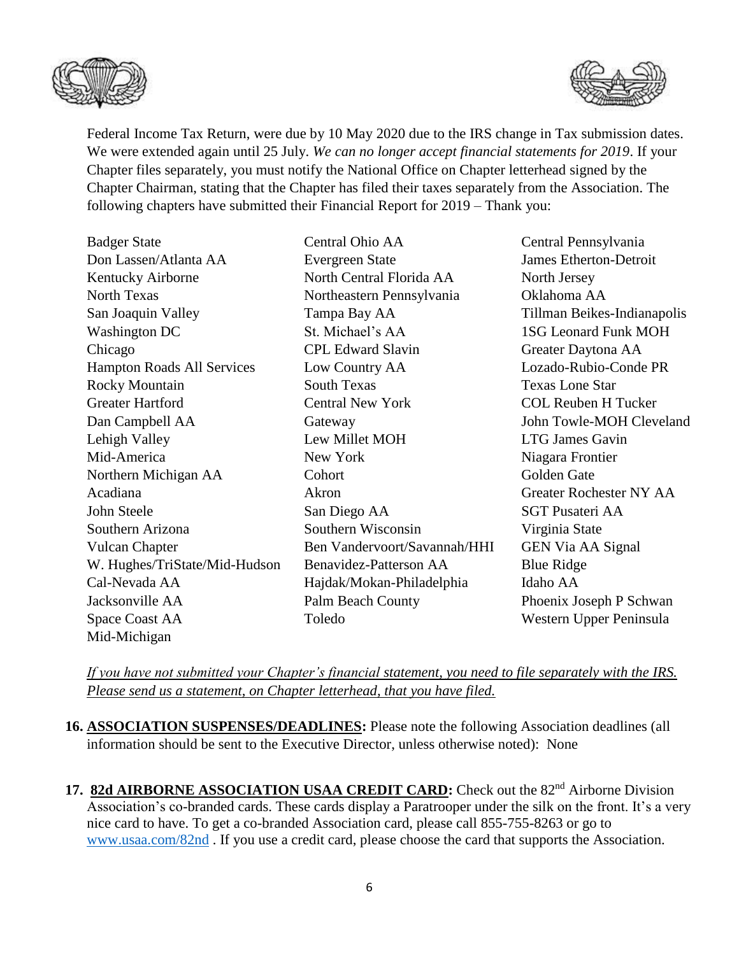



Federal Income Tax Return, were due by 10 May 2020 due to the IRS change in Tax submission dates. We were extended again until 25 July. *We can no longer accept financial statements for 2019*. If your Chapter files separately, you must notify the National Office on Chapter letterhead signed by the Chapter Chairman, stating that the Chapter has filed their taxes separately from the Association. The following chapters have submitted their Financial Report for 2019 – Thank you:

| <b>Badger State</b>           | Central Ohio AA              | Central Pennsylvania           |
|-------------------------------|------------------------------|--------------------------------|
| Don Lassen/Atlanta AA         | <b>Evergreen State</b>       | <b>James Etherton-Detroit</b>  |
| Kentucky Airborne             | North Central Florida AA     | North Jersey                   |
| <b>North Texas</b>            | Northeastern Pennsylvania    | Oklahoma AA                    |
| San Joaquin Valley            | Tampa Bay AA                 | Tillman Beikes-Indianapolis    |
| <b>Washington DC</b>          | St. Michael's AA             | <b>1SG Leonard Funk MOH</b>    |
| Chicago                       | <b>CPL Edward Slavin</b>     | Greater Daytona AA             |
| Hampton Roads All Services    | Low Country AA               | Lozado-Rubio-Conde PR          |
| <b>Rocky Mountain</b>         | <b>South Texas</b>           | <b>Texas Lone Star</b>         |
| <b>Greater Hartford</b>       | <b>Central New York</b>      | <b>COL Reuben H Tucker</b>     |
| Dan Campbell AA               | Gateway                      | John Towle-MOH Cleveland       |
| Lehigh Valley                 | Lew Millet MOH               | <b>LTG James Gavin</b>         |
| Mid-America                   | New York                     | Niagara Frontier               |
| Northern Michigan AA          | Cohort                       | Golden Gate                    |
| Acadiana                      | Akron                        | <b>Greater Rochester NY AA</b> |
| John Steele                   | San Diego AA                 | <b>SGT Pusateri AA</b>         |
| Southern Arizona              | Southern Wisconsin           | Virginia State                 |
| <b>Vulcan Chapter</b>         | Ben Vandervoort/Savannah/HHI | <b>GEN Via AA Signal</b>       |
| W. Hughes/TriState/Mid-Hudson | Benavidez-Patterson AA       | <b>Blue Ridge</b>              |
| Cal-Nevada AA                 | Hajdak/Mokan-Philadelphia    | Idaho AA                       |
| Jacksonville AA               | Palm Beach County            | Phoenix Joseph P Schwan        |
| Space Coast AA                | Toledo                       | Western Upper Peninsula        |
| Mid-Michigan                  |                              |                                |

*If you have not submitted your Chapter's financial statement, you need to file separately with the IRS. Please send us a statement, on Chapter letterhead, that you have filed.*

- **16. ASSOCIATION SUSPENSES/DEADLINES:** Please note the following Association deadlines (all information should be sent to the Executive Director, unless otherwise noted): None
- 17. 82d AIRBORNE ASSOCIATION USAA CREDIT CARD: Check out the 82<sup>nd</sup> Airborne Division Association's co-branded cards. These cards display a Paratrooper under the silk on the front. It's a very nice card to have. To get a co-branded Association card, please call 855-755-8263 or go to [www.usaa.com/82nd](http://www.usaa.com/82nd) . If you use a credit card, please choose the card that supports the Association.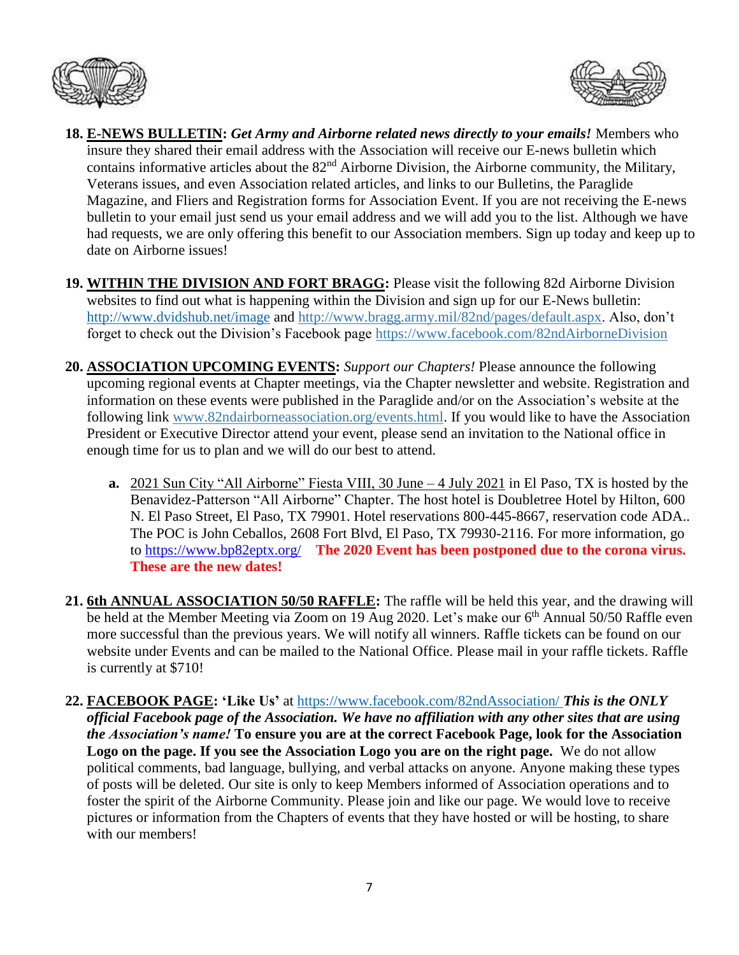



- **18. E-NEWS BULLETIN:** *Get Army and Airborne related news directly to your emails!* Members who insure they shared their email address with the Association will receive our E-news bulletin which contains informative articles about the 82<sup>nd</sup> Airborne Division, the Airborne community, the Military, Veterans issues, and even Association related articles, and links to our Bulletins, the Paraglide Magazine, and Fliers and Registration forms for Association Event. If you are not receiving the E-news bulletin to your email just send us your email address and we will add you to the list. Although we have had requests, we are only offering this benefit to our Association members. Sign up today and keep up to date on Airborne issues!
- **19. WITHIN THE DIVISION AND FORT BRAGG:** Please visit the following 82d Airborne Division websites to find out what is happening within the Division and sign up for our E-News bulletin: <http://www.dvidshub.net/image> and [http://www.bragg.army.mil/82nd/pages/default.aspx.](http://www.bragg.army.mil/82ND/Pages/default.aspx) Also, don't forget to check out the Division's Facebook page<https://www.facebook.com/82ndAirborneDivision>
- **20. ASSOCIATION UPCOMING EVENTS:** *Support our Chapters!* Please announce the following upcoming regional events at Chapter meetings, via the Chapter newsletter and website. Registration and information on these events were published in the Paraglide and/or on the Association's website at the following link [www.82ndairborneassociation.org/events.html.](http://www.82ndairborneassociation.org/events.html) If you would like to have the Association President or Executive Director attend your event, please send an invitation to the National office in enough time for us to plan and we will do our best to attend.
	- **a.** 2021 Sun City "All Airborne" Fiesta VIII, 30 June 4 July 2021 in El Paso, TX is hosted by the Benavidez-Patterson "All Airborne" Chapter. The host hotel is Doubletree Hotel by Hilton, 600 N. El Paso Street, El Paso, TX 79901. Hotel reservations 800-445-8667, reservation code ADA.. The POC is John Ceballos, 2608 Fort Blvd, El Paso, TX 79930-2116. For more information, go to<https://www.bp82eptx.org/>**The 2020 Event has been postponed due to the corona virus. These are the new dates!**
- **21. 6th ANNUAL ASSOCIATION 50/50 RAFFLE:** The raffle will be held this year, and the drawing will be held at the Member Meeting via Zoom on 19 Aug 2020. Let's make our 6<sup>th</sup> Annual 50/50 Raffle even more successful than the previous years. We will notify all winners. Raffle tickets can be found on our website under Events and can be mailed to the National Office. Please mail in your raffle tickets. Raffle is currently at \$710!
- **22. FACEBOOK PAGE: 'Like Us'** at<https://www.facebook.com/82ndAssociation/> *This is the ONLY official Facebook page of the Association. We have no affiliation with any other sites that are using the Association's name!* **To ensure you are at the correct Facebook Page, look for the Association Logo on the page. If you see the Association Logo you are on the right page.** We do not allow political comments, bad language, bullying, and verbal attacks on anyone. Anyone making these types of posts will be deleted. Our site is only to keep Members informed of Association operations and to foster the spirit of the Airborne Community. Please join and like our page. We would love to receive pictures or information from the Chapters of events that they have hosted or will be hosting, to share with our members!